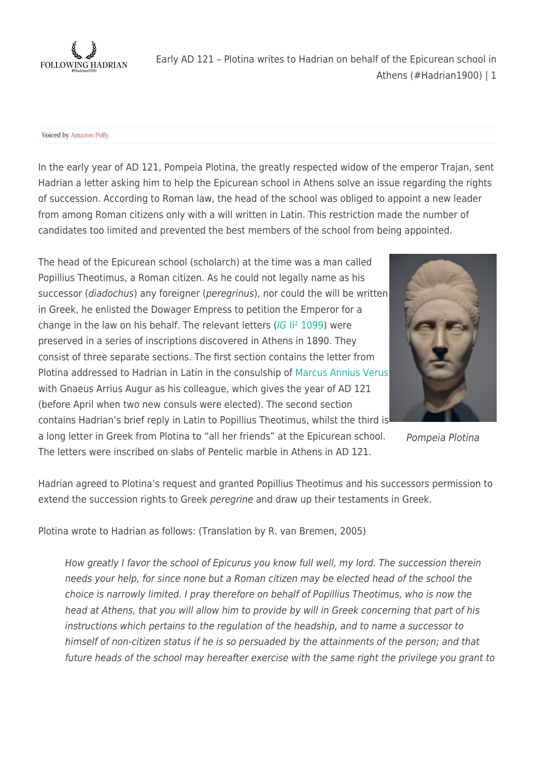

Voiced by Amazon Polly

In the early year of AD 121, Pompeia Plotina, the greatly respected widow of the emperor Trajan, sent Hadrian a letter asking him to help the Epicurean school in Athens solve an issue regarding the rights of succession. According to Roman law, the head of the school was obliged to appoint a new leader from among Roman citizens only with a will written in Latin. This restriction made the number of candidates too limited and prevented the best members of the school from being appointed.

The head of the Epicurean school (scholarch) at the time was a man called Popillius Theotimus, a Roman citizen. As he could not legally name as his successor (diadochus) any foreigner (peregrinus), nor could the will be written in Greek, he enlisted the Dowager Empress to petition the Emperor for a change in the law on his behalf. The relevant letters ([IG](https://epigraphy.packhum.org/text/3314) [II² 1099](https://epigraphy.packhum.org/text/3314)) were preserved in a series of inscriptions discovered in Athens in 1890. They consist of three separate sections. The first section contains the letter from Plotina addressed to Hadrian in Latin in the consulship of [Marcus Annius Verus](https://en.wikipedia.org/wiki/Marcus_Annius_Verus_(grandfather_of_Marcus_Aurelius)) with Gnaeus Arrius Augur as his colleague, which gives the year of AD 121 (before April when two new consuls were elected). The second section contains Hadrian's brief reply in Latin to Popillius Theotimus, whilst the third is a long letter in Greek from Plotina to "all her friends" at the Epicurean school.

The letters were inscribed on slabs of Pentelic marble in Athens in AD 121.



Pompeia Plotina

Hadrian agreed to Plotina's request and granted Popillius Theotimus and his successors permission to extend the succession rights to Greek peregrine and draw up their testaments in Greek.

Plotina wrote to Hadrian as follows: (Translation by R. van Bremen, 2005)

How greatly I favor the school of Epicurus you know full well, my lord. The succession therein needs your help, for since none but a Roman citizen may be elected head of the school the choice is narrowly limited. I pray therefore on behalf of Popillius Theotimus, who is now the head at Athens, that you will allow him to provide by will in Greek concerning that part of his instructions which pertains to the regulation of the headship, and to name a successor to himself of non-citizen status if he is so persuaded by the attainments of the person; and that future heads of the school may hereafter exercise with the same right the privilege you grant to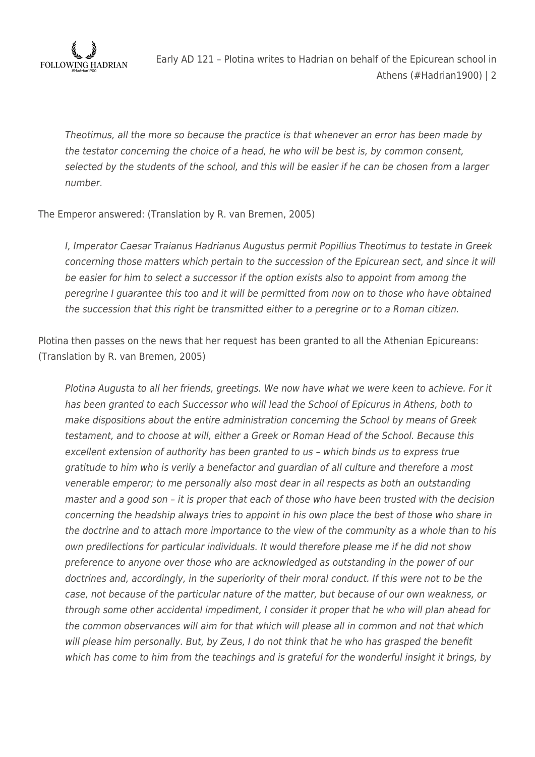

Theotimus, all the more so because the practice is that whenever an error has been made by the testator concerning the choice of a head, he who will be best is, by common consent, selected by the students of the school, and this will be easier if he can be chosen from a larger number.

#### The Emperor answered: (Translation by R. van Bremen, 2005)

I, Imperator Caesar Traianus Hadrianus Augustus permit Popillius Theotimus to testate in Greek concerning those matters which pertain to the succession of the Epicurean sect, and since it will be easier for him to select a successor if the option exists also to appoint from among the peregrine I guarantee this too and it will be permitted from now on to those who have obtained the succession that this right be transmitted either to a peregrine or to a Roman citizen.

Plotina then passes on the news that her request has been granted to all the Athenian Epicureans: (Translation by R. van Bremen, 2005)

Plotina Augusta to all her friends, greetings. We now have what we were keen to achieve. For it has been granted to each Successor who will lead the School of Epicurus in Athens, both to make dispositions about the entire administration concerning the School by means of Greek testament, and to choose at will, either a Greek or Roman Head of the School. Because this excellent extension of authority has been granted to us – which binds us to express true gratitude to him who is verily a benefactor and guardian of all culture and therefore a most venerable emperor; to me personally also most dear in all respects as both an outstanding master and a good son – it is proper that each of those who have been trusted with the decision concerning the headship always tries to appoint in his own place the best of those who share in the doctrine and to attach more importance to the view of the community as a whole than to his own predilections for particular individuals. It would therefore please me if he did not show preference to anyone over those who are acknowledged as outstanding in the power of our doctrines and, accordingly, in the superiority of their moral conduct. If this were not to be the case, not because of the particular nature of the matter, but because of our own weakness, or through some other accidental impediment, I consider it proper that he who will plan ahead for the common observances will aim for that which will please all in common and not that which will please him personally. But, by Zeus, I do not think that he who has grasped the benefit which has come to him from the teachings and is grateful for the wonderful insight it brings, by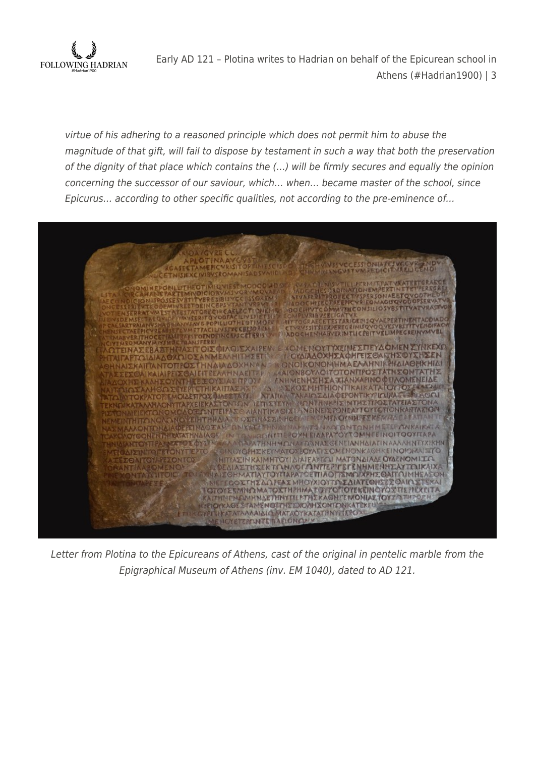

virtue of his adhering to a reasoned principle which does not permit him to abuse the magnitude of that gift, will fail to dispose by testament in such a way that both the preservation of the dignity of that place which contains the (…) will be firmly secures and equally the opinion concerning the successor of our saviour, which… when… became master of the school, since Epicurus… according to other specific qualities, not according to the pre-eminence of…



Letter from Plotina to the Epicureans of Athens, cast of the original in pentelic marble from the Epigraphical Museum of Athens (inv. EM 1040), dated to AD 121.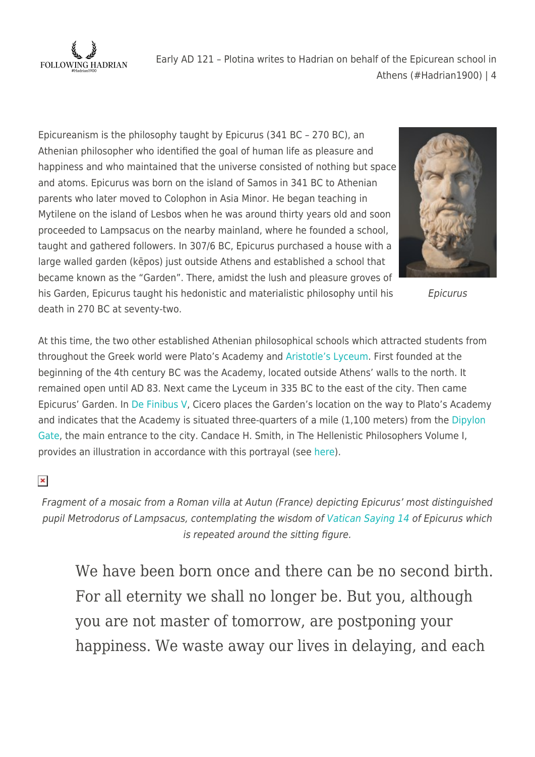

Epicureanism is the philosophy taught by Epicurus (341 BC – 270 BC), an Athenian philosopher who identified the goal of human life as pleasure and happiness and who maintained that the universe consisted of nothing but space and atoms. Epicurus was born on the island of Samos in 341 BC to Athenian parents who later moved to Colophon in Asia Minor. He began teaching in Mytilene on the island of Lesbos when he was around thirty years old and soon proceeded to Lampsacus on the nearby mainland, where he founded a school, taught and gathered followers. In 307/6 BC, Epicurus purchased a house with a large walled garden (kēpos) just outside Athens and established a school that became known as the "Garden". There, amidst the lush and pleasure groves of his Garden, Epicurus taught his hedonistic and materialistic philosophy until his death in 270 BC at seventy-two.



Epicurus

At this time, the two other established Athenian philosophical schools which attracted students from throughout the Greek world were Plato's Academy and [Aristotle's Lyceum.](https://www.flickr.com/photos/carolemage/31152933357/in/album-72157704106174285/) First founded at the beginning of the 4th century BC was the Academy, located outside Athens' walls to the north. It remained open until AD 83. Next came the Lyceum in 335 BC to the east of the city. Then came Epicurus' Garden. In [De Finibus V](https://penelope.uchicago.edu/Thayer/E/Roman/Texts/Cicero/de_Finibus/5*.html), Cicero places the Garden's location on the way to Plato's Academy and indicates that the Academy is situated three-quarters of a mile (1,100 meters) from the [Dipylon](https://www.flickr.com/photos/carolemage/51036690148/in/album-72157718650568017/) [Gate](https://www.flickr.com/photos/carolemage/51036690148/in/album-72157718650568017/), the main entrance to the city. Candace H. Smith, in The Hellenistic Philosophers Volume I, provides an illustration in accordance with this portrayal (see [here](https://books.google.de/books?id=C4khAwAAQBAJ&pg=PT16&lpg=PT16&dq=Candace+H.+Smith,+in+The+Hellenistic+Philosophers&source=bl&ots=9XXwZ2m846&sig=ACfU3U0E4zaTB6W1GK-iORAaSwifcG3sCw&hl=en&sa=X&ved=2ahUKEwjdj9jYx7DvAhXPA2MBHUHRAf44ChDoATAMegQIAxAD#v=onepage&q=Candace%20H.%20Smith%2C%20in%20The%20Hellenistic%20Philosophers&f=false)).

### $\pmb{\times}$

Fragment of a mosaic from a Roman villa at Autun (France) depicting Epicurus' most distinguished pupil Metrodorus of Lampsacus, contemplating the wisdom of [Vatican Saying 14](http://wiki.epicurism.info/Vatican_Saying_14/) of Epicurus which is repeated around the sitting figure.

We have been born once and there can be no second birth. For all eternity we shall no longer be. But you, although you are not master of tomorrow, are postponing your happiness. We waste away our lives in delaying, and each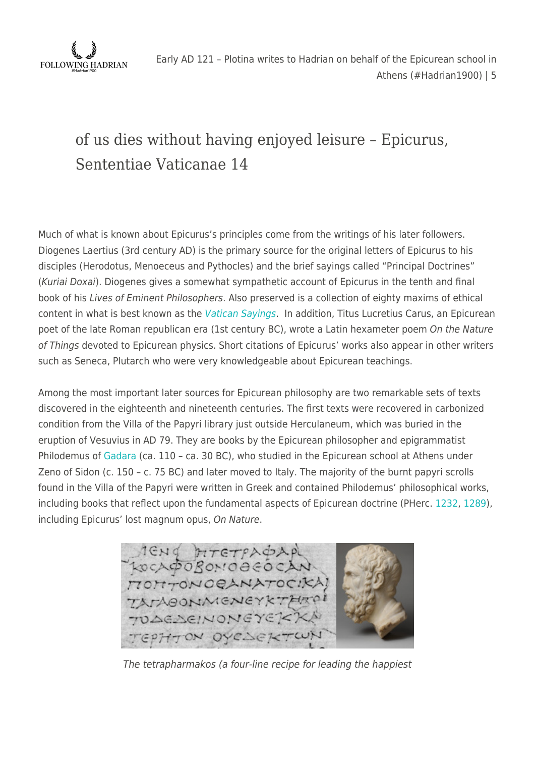

## of us dies without having enjoyed leisure – Epicurus, Sententiae Vaticanae 14

Much of what is known about Epicurus's principles come from the writings of his later followers. Diogenes Laertius (3rd century AD) is the primary source for the original letters of Epicurus to his disciples (Herodotus, Menoeceus and Pythocles) and the brief sayings called "Principal Doctrines" (Kuriai Doxai). Diogenes gives a somewhat sympathetic account of Epicurus in the tenth and final book of his Lives of Eminent Philosophers. Also preserved is a collection of eighty maxims of ethical content in what is best known as the [Vatican Sayings](http://epicurus.net/en/vatican.html). In addition, Titus Lucretius Carus, an Epicurean poet of the late Roman republican era (1st century BC), wrote a Latin hexameter poem On the Nature of Things devoted to Epicurean physics. Short citations of Epicurus' works also appear in other writers such as Seneca, Plutarch who were very knowledgeable about Epicurean teachings.

Among the most important later sources for Epicurean philosophy are two remarkable sets of texts discovered in the eighteenth and nineteenth centuries. The first texts were recovered in carbonized condition from the Villa of the Papyri library just outside Herculaneum, which was buried in the eruption of Vesuvius in AD 79. They are books by the Epicurean philosopher and epigrammatist Philodemus of [Gadara](https://followinghadrianphotography.com/2020/09/27/gadara-umm-qais/) (ca. 110 – ca. 30 BC), who studied in the Epicurean school at Athens under Zeno of Sidon (c. 150 – c. 75 BC) and later moved to Italy. The majority of the burnt papyri scrolls found in the Villa of the Papyri were written in Greek and contained Philodemus' philosophical works, including books that reflect upon the fundamental aspects of Epicurean doctrine (PHerc. [1232,](http://163.1.169.40/cgi-bin/library?e=d-000-00---0PHerc--00-0-0--0prompt-10---4------0-1l--1-en-50---20-about---00031-001-1-0utfZz-8-00&a=d&c=PHerc&cl=CL5.1.85) [1289](http://163.1.169.40/cgi-bin/library?e=d-000-00---0PHerc--00-0-0--0prompt-10---4------0-1l--1-en-50---20-about---00031-001-1-0utfZz-8-00&a=d&c=PHerc&cl=CL5.1.86)), including Epicurus' lost magnum opus, On Nature.



The tetrapharmakos (a four-line recipe for leading the happiest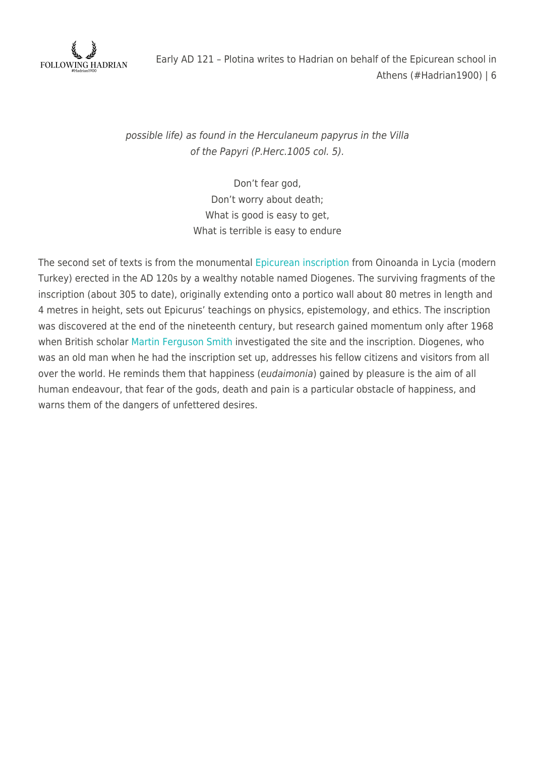

possible life) as found in the Herculaneum papyrus in the Villa of the Papyri (P.Herc.1005 col. 5).

> Don't fear god, Don't worry about death; What is good is easy to get, What is terrible is easy to endure

The second set of texts is from the monumental [Epicurean inscription](http://www.english.enoanda.cat/the_inscription.html) from Oinoanda in Lycia (modern Turkey) erected in the AD 120s by a wealthy notable named Diogenes. The surviving fragments of the inscription (about 305 to date), originally extending onto a portico wall about 80 metres in length and 4 metres in height, sets out Epicurus' teachings on physics, epistemology, and ethics. The inscription was discovered at the end of the nineteenth century, but research gained momentum only after 1968 when British scholar [Martin Ferguson Smith](https://en.wikipedia.org/wiki/Martin_Ferguson_Smith) investigated the site and the inscription. Diogenes, who was an old man when he had the inscription set up, addresses his fellow citizens and visitors from all over the world. He reminds them that happiness (eudaimonia) gained by pleasure is the aim of all human endeavour, that fear of the gods, death and pain is a particular obstacle of happiness, and warns them of the dangers of unfettered desires.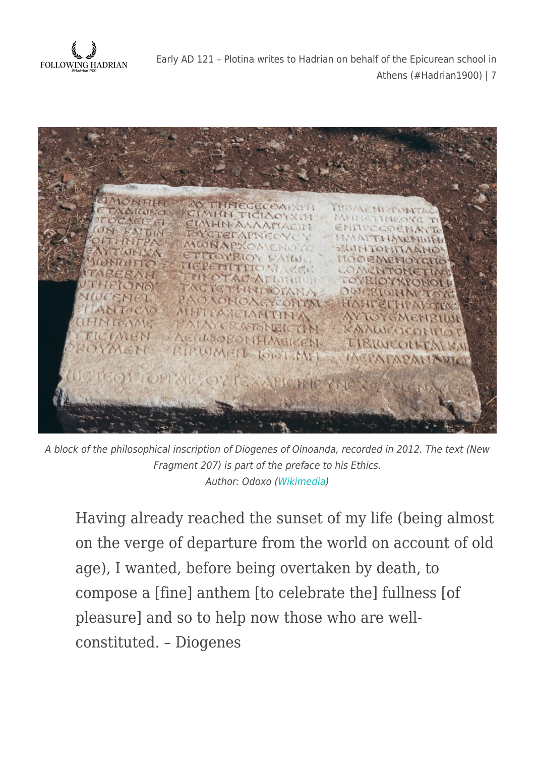



A block of the philosophical inscription of Diogenes of Oinoanda, recorded in 2012. The text (New Fragment 207) is part of the preface to his Ethics. Author: Odoxo [\(Wikimedia](https://commons.wikimedia.org/wiki/File:DIOGENES_BLOCK.jpg))

Having already reached the sunset of my life (being almost on the verge of departure from the world on account of old age), I wanted, before being overtaken by death, to compose a [fine] anthem [to celebrate the] fullness [of pleasure] and so to help now those who are wellconstituted. – Diogenes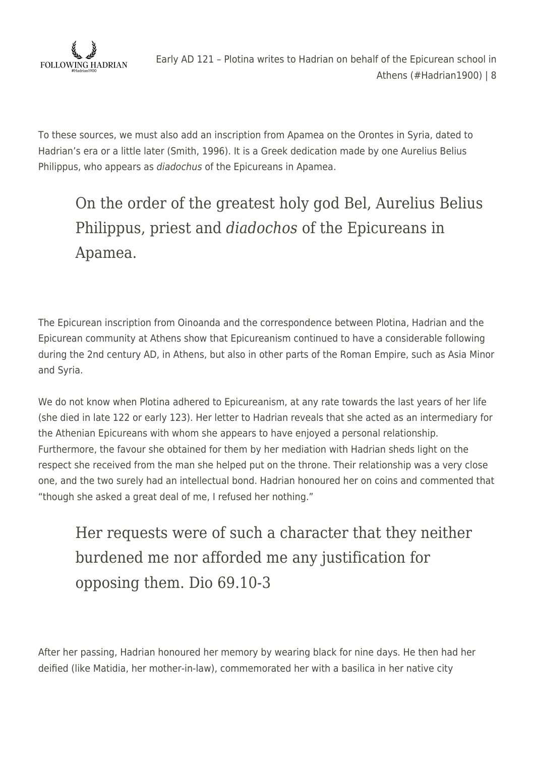

To these sources, we must also add an inscription from Apamea on the Orontes in Syria, dated to Hadrian's era or a little later (Smith, 1996). It is a Greek dedication made by one Aurelius Belius Philippus, who appears as diadochus of the Epicureans in Apamea.

# On the order of the greatest holy god Bel, Aurelius Belius Philippus, priest and *diadochos* of the Epicureans in Apamea.

The Epicurean inscription from Oinoanda and the correspondence between Plotina, Hadrian and the Epicurean community at Athens show that Epicureanism continued to have a considerable following during the 2nd century AD, in Athens, but also in other parts of the Roman Empire, such as Asia Minor and Syria.

We do not know when Plotina adhered to Epicureanism, at any rate towards the last years of her life (she died in late 122 or early 123). Her letter to Hadrian reveals that she acted as an intermediary for the Athenian Epicureans with whom she appears to have enjoyed a personal relationship. Furthermore, the favour she obtained for them by her mediation with Hadrian sheds light on the respect she received from the man she helped put on the throne. Their relationship was a very close one, and the two surely had an intellectual bond. Hadrian honoured her on coins and commented that "though she asked a great deal of me, I refused her nothing."

Her requests were of such a character that they neither burdened me nor afforded me any justification for opposing them. Dio 69.10-3

After her passing, Hadrian honoured her memory by wearing black for nine days. He then had her deified (like Matidia, her mother-in-law), commemorated her with a basilica in her native city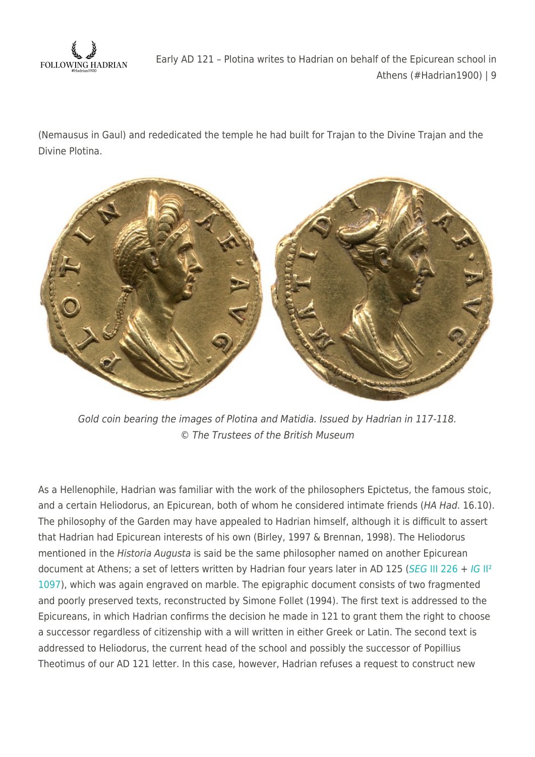

(Nemausus in Gaul) and rededicated the temple he had built for Trajan to the Divine Trajan and the Divine Plotina.



Gold coin bearing the images of Plotina and Matidia. Issued by Hadrian in 117-118. © The Trustees of the British Museum

As a Hellenophile, Hadrian was familiar with the work of the philosophers Epictetus, the famous stoic, and a certain Heliodorus, an Epicurean, both of whom he considered intimate friends (HA Had. 16.10). The philosophy of the Garden may have appealed to Hadrian himself, although it is difficult to assert that Hadrian had Epicurean interests of his own (Birley, 1997 & Brennan, 1998). The Heliodorus mentioned in the Historia Augusta is said be the same philosopher named on another Epicurean document at Athens; a set of letters written by Hadrian four years later in AD 125 ([SEG](https://epigraphy.packhum.org/text/290123) [III 226](https://epigraphy.packhum.org/text/290123) + [IG](https://epigraphy.packhum.org/text/3312) II<sup>2</sup> [1097\)](https://epigraphy.packhum.org/text/3312), which was again engraved on marble. The epigraphic document consists of two fragmented and poorly preserved texts, reconstructed by Simone Follet (1994). The first text is addressed to the Epicureans, in which Hadrian confirms the decision he made in 121 to grant them the right to choose a successor regardless of citizenship with a will written in either Greek or Latin. The second text is addressed to Heliodorus, the current head of the school and possibly the successor of Popillius Theotimus of our AD 121 letter. In this case, however, Hadrian refuses a request to construct new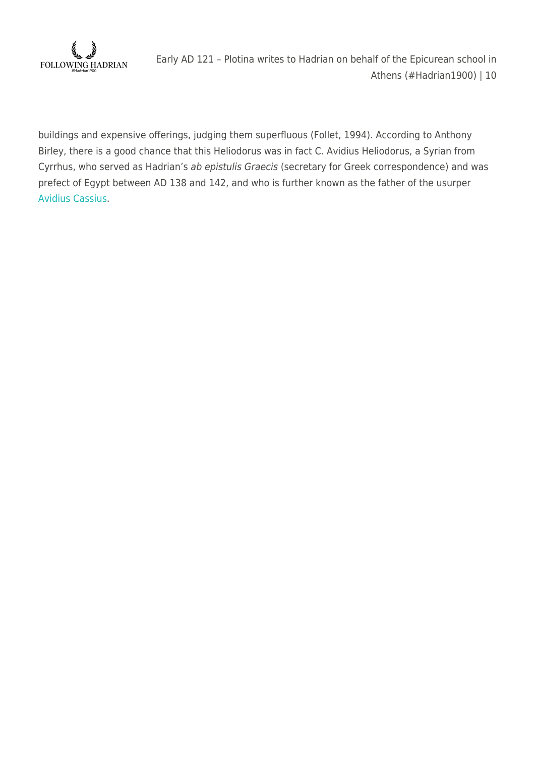

buildings and expensive offerings, judging them superfluous (Follet, 1994). According to Anthony Birley, there is a good chance that this Heliodorus was in fact C. Avidius Heliodorus, a Syrian from Cyrrhus, who served as Hadrian's ab epistulis Graecis (secretary for Greek correspondence) and was prefect of Egypt between AD 138 and 142, and who is further known as the father of the usurper [Avidius Cassius.](https://www.britannica.com/biography/Gaius-Avidius-Cassius)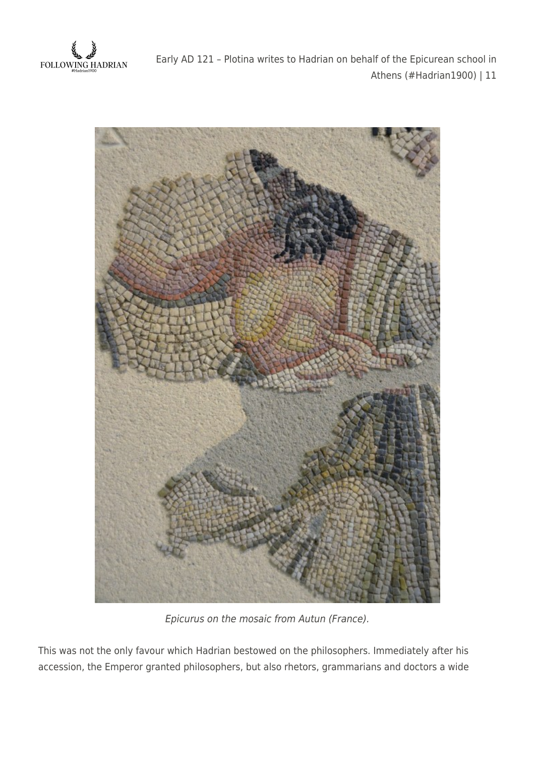



Epicurus on the mosaic from Autun (France).

This was not the only favour which Hadrian bestowed on the philosophers. Immediately after his accession, the Emperor granted philosophers, but also rhetors, grammarians and doctors a wide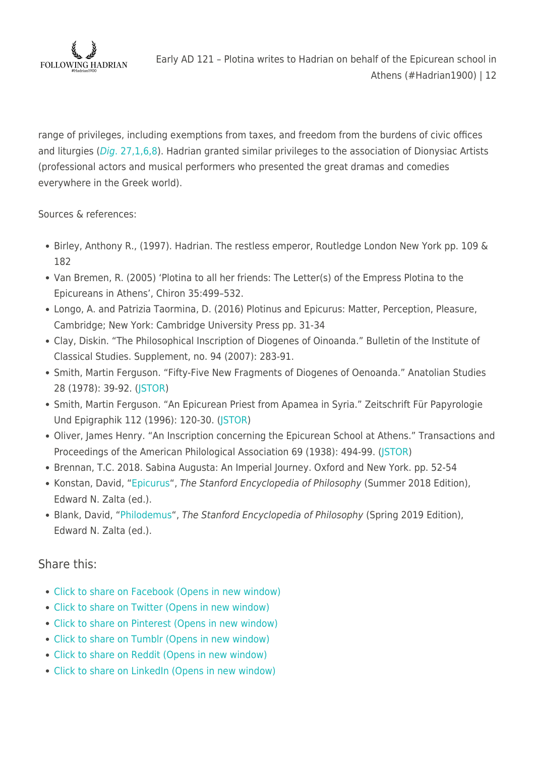

range of privileges, including exemptions from taxes, and freedom from the burdens of civic offices and liturgies ([Dig](https://books.google.de/books?id=Cpa9CwAAQBAJ&pg=PA95&lpg=PA95&dq=Dig.+27.1.6.8&source=bl&ots=hdxWljx2I0&sig=ACfU3U0TYTySCuF7tYIn2nlVHtmYcnGE7Q&hl=en&sa=X&ved=2ahUKEwiVxqO-477vAhULD-wKHQdHD7EQ6AEwBXoECAoQAw#v=onepage&q=Dig.%2027.1.6.8&f=false)[. 27,1,6,8](https://books.google.de/books?id=Cpa9CwAAQBAJ&pg=PA95&lpg=PA95&dq=Dig.+27.1.6.8&source=bl&ots=hdxWljx2I0&sig=ACfU3U0TYTySCuF7tYIn2nlVHtmYcnGE7Q&hl=en&sa=X&ved=2ahUKEwiVxqO-477vAhULD-wKHQdHD7EQ6AEwBXoECAoQAw#v=onepage&q=Dig.%2027.1.6.8&f=false)). Hadrian granted similar privileges to the association of Dionysiac Artists (professional actors and musical performers who presented the great dramas and comedies everywhere in the Greek world).

Sources & references:

- Birley, Anthony R., (1997). Hadrian. The restless emperor, Routledge London New York pp. 109 & 182
- Van Bremen, R. (2005) 'Plotina to all her friends: The Letter(s) of the Empress Plotina to the Epicureans in Athens', Chiron 35:499–532.
- Longo, A. and Patrizia Taormina, D. (2016) Plotinus and Epicurus: Matter, Perception, Pleasure, Cambridge; New York: Cambridge University Press pp. 31-34
- Clay, Diskin. "The Philosophical Inscription of Diogenes of Oinoanda." Bulletin of the Institute of Classical Studies. Supplement, no. 94 (2007): 283-91.
- Smith, Martin Ferguson. "Fifty-Five New Fragments of Diogenes of Oenoanda." Anatolian Studies 28 (1978): 39-92. [\(JSTOR](https://www.jstor.org/stable/3642743?seq=1#metadata_info_tab_contents))
- Smith, Martin Ferguson. "An Epicurean Priest from Apamea in Syria." Zeitschrift Für Papyrologie Und Epigraphik 112 (1996): 120-30. ([JSTOR](https://www.jstor.org/stable/20189781))
- Oliver, James Henry. "An Inscription concerning the Epicurean School at Athens." Transactions and Proceedings of the American Philological Association 69 (1938): 494-99. (STOR)
- Brennan, T.C. 2018. Sabina Augusta: An Imperial Journey. Oxford and New York. pp. 52-54
- Konstan, David, "[Epicurus](https://plato.stanford.edu/archives/sum2018/entries/epicurus)", The Stanford Encyclopedia of Philosophy (Summer 2018 Edition), Edward N. Zalta (ed.).
- Blank, David, "[Philodemus](https://plato.stanford.edu/archives/spr2019/entries/philodemus)", The Stanford Encyclopedia of Philosophy (Spring 2019 Edition), Edward N. Zalta (ed.).

### Share this:

- [Click to share on Facebook \(Opens in new window\)](https://followinghadrian.com/2021/03/21/early-ad-121-plotina-writes-to-hadrian-on-behalf-of-the-epicurean-school-in-athens-hadrian1900/?share=facebook)
- [Click to share on Twitter \(Opens in new window\)](https://followinghadrian.com/2021/03/21/early-ad-121-plotina-writes-to-hadrian-on-behalf-of-the-epicurean-school-in-athens-hadrian1900/?share=twitter)
- [Click to share on Pinterest \(Opens in new window\)](https://followinghadrian.com/2021/03/21/early-ad-121-plotina-writes-to-hadrian-on-behalf-of-the-epicurean-school-in-athens-hadrian1900/?share=pinterest)
- [Click to share on Tumblr \(Opens in new window\)](https://followinghadrian.com/2021/03/21/early-ad-121-plotina-writes-to-hadrian-on-behalf-of-the-epicurean-school-in-athens-hadrian1900/?share=tumblr)
- [Click to share on Reddit \(Opens in new window\)](https://followinghadrian.com/2021/03/21/early-ad-121-plotina-writes-to-hadrian-on-behalf-of-the-epicurean-school-in-athens-hadrian1900/?share=reddit)
- [Click to share on LinkedIn \(Opens in new window\)](https://followinghadrian.com/2021/03/21/early-ad-121-plotina-writes-to-hadrian-on-behalf-of-the-epicurean-school-in-athens-hadrian1900/?share=linkedin)